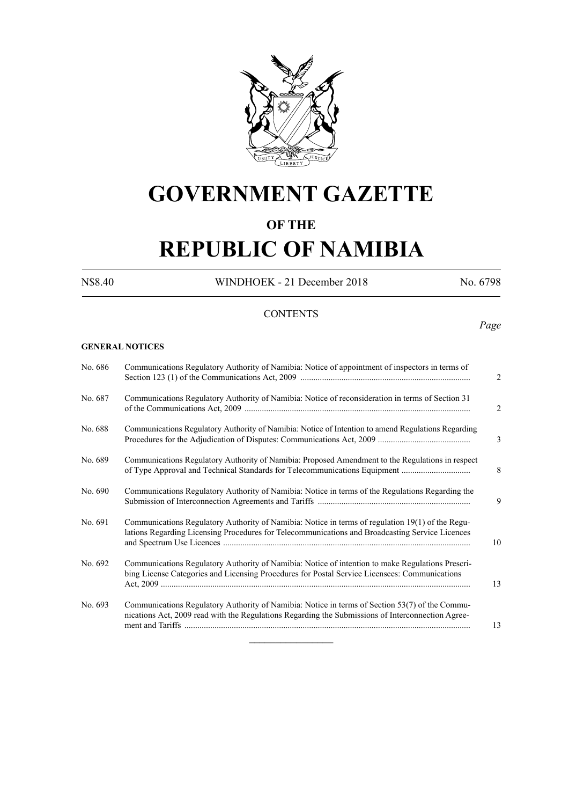

# **GOVERNMENT GAZETTE**

# **OF THE**

# **REPUBLIC OF NAMIBIA**

N\$8.40 WINDHOEK - 21 December 2018 No. 6798

# **CONTENTS**

*Page*

# **GENERAL NOTICES**

| No. 687 | Communications Regulatory Authority of Namibia: Notice of reconsideration in terms of Section 31                                                                                                    | $\overline{2}$ |
|---------|-----------------------------------------------------------------------------------------------------------------------------------------------------------------------------------------------------|----------------|
| No. 688 | Communications Regulatory Authority of Namibia: Notice of Intention to amend Regulations Regarding                                                                                                  | 3              |
| No. 689 | Communications Regulatory Authority of Namibia: Proposed Amendment to the Regulations in respect                                                                                                    | 8              |
| No. 690 | Communications Regulatory Authority of Namibia: Notice in terms of the Regulations Regarding the                                                                                                    | 9              |
| No. 691 | Communications Regulatory Authority of Namibia: Notice in terms of regulation 19(1) of the Regu-<br>lations Regarding Licensing Procedures for Telecommunications and Broadcasting Service Licences | 10             |
| No. 692 | Communications Regulatory Authority of Namibia: Notice of intention to make Regulations Prescri-<br>bing License Categories and Licensing Procedures for Postal Service Licensees: Communications   | 13             |
| No. 693 | Communications Regulatory Authority of Namibia: Notice in terms of Section 53(7) of the Commu-<br>nications Act, 2009 read with the Regulations Regarding the Submissions of Interconnection Agree- | 13             |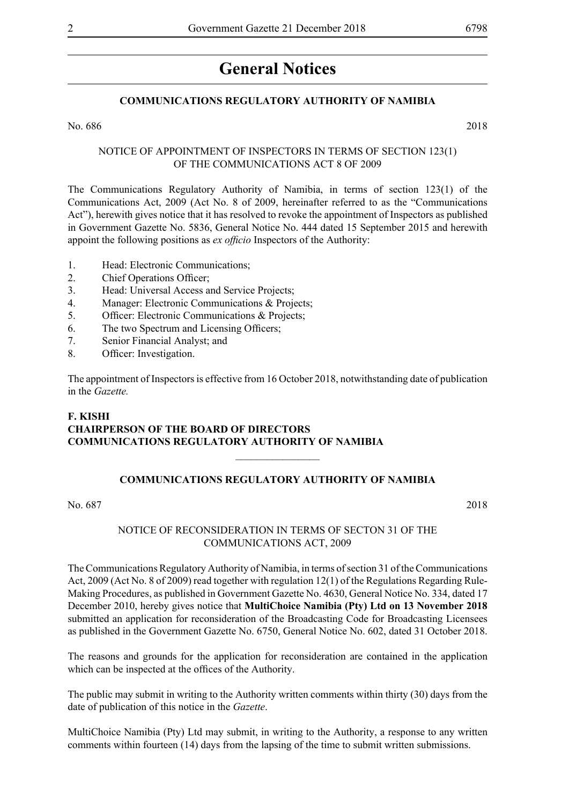# **General Notices**

# **COMMUNICATIONS REGULATORY AUTHORITY OF NAMIBIA**

No. 686 2018

# NOTICE OF APPOINTMENT OF INSPECTORS IN TERMS OF SECTION 123(1) OF THE COMMUNICATIONS ACT 8 OF 2009

The Communications Regulatory Authority of Namibia, in terms of section 123(1) of the Communications Act, 2009 (Act No. 8 of 2009, hereinafter referred to as the "Communications Act"), herewith gives notice that it has resolved to revoke the appointment of Inspectors as published in Government Gazette No. 5836, General Notice No. 444 dated 15 September 2015 and herewith appoint the following positions as *ex officio* Inspectors of the Authority:

- 1. Head: Electronic Communications;
- 2. Chief Operations Officer:
- 3. Head: Universal Access and Service Projects;
- 4. Manager: Electronic Communications & Projects;
- 5. Officer: Electronic Communications & Projects;
- 6. The two Spectrum and Licensing Officers;
- 7. Senior Financial Analyst; and
- 8. Officer: Investigation.

The appointment of Inspectors is effective from 16 October 2018, notwithstanding date of publication in the *Gazette.*

# **F. KISHI CHAIRPERSON OF THE BOARD OF DIRECTORS COMMUNICATIONS REGULATORY AUTHORITY OF NAMIBIA**

#### **COMMUNICATIONS REGULATORY AUTHORITY OF NAMIBIA**

 $\frac{1}{2}$ 

No. 687 2018

#### NOTICE OF RECONSIDERATION IN TERMS OF SECTON 31 OF THE COMMUNICATIONS ACT, 2009

The Communications Regulatory Authority of Namibia, in terms of section 31 of the Communications Act, 2009 (Act No. 8 of 2009) read together with regulation 12(1) of the Regulations Regarding Rule-Making Procedures, as published in Government Gazette No. 4630, General Notice No. 334, dated 17 December 2010, hereby gives notice that **MultiChoice Namibia (Pty) Ltd on 13 November 2018**  submitted an application for reconsideration of the Broadcasting Code for Broadcasting Licensees as published in the Government Gazette No. 6750, General Notice No. 602, dated 31 October 2018.

The reasons and grounds for the application for reconsideration are contained in the application which can be inspected at the offices of the Authority.

The public may submit in writing to the Authority written comments within thirty (30) days from the date of publication of this notice in the *Gazette*.

MultiChoice Namibia (Pty) Ltd may submit, in writing to the Authority, a response to any written comments within fourteen (14) days from the lapsing of the time to submit written submissions.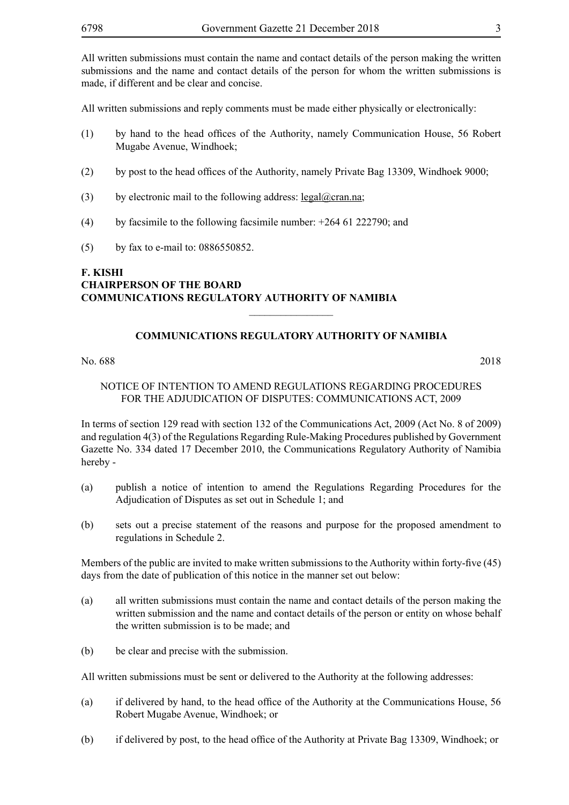All written submissions must contain the name and contact details of the person making the written submissions and the name and contact details of the person for whom the written submissions is made, if different and be clear and concise.

All written submissions and reply comments must be made either physically or electronically:

- (1) by hand to the head offices of the Authority, namely Communication House, 56 Robert Mugabe Avenue, Windhoek;
- (2) by post to the head offices of the Authority, namely Private Bag 13309, Windhoek 9000;
- (3) by electronic mail to the following address: legal@cran.na;
- (4) by facsimile to the following facsimile number: +264 61 222790; and
- (5) by fax to e-mail to: 0886550852.

# **F. KISHI CHAIRPERSON OF THE BOARD COMMUNICATIONS REGULATORY AUTHORITY OF NAMIBIA**

# **COMMUNICATIONS REGULATORY AUTHORITY OF NAMIBIA**

 $\frac{1}{2}$ 

No. 688 2018

# NOTICE OF INTENTION TO AMEND REGULATIONS REGARDING PROCEDURES FOR THE ADJUDICATION OF DISPUTES: COMMUNICATIONS ACT, 2009

In terms of section 129 read with section 132 of the Communications Act, 2009 (Act No. 8 of 2009) and regulation 4(3) of the Regulations Regarding Rule-Making Procedures published by Government Gazette No. 334 dated 17 December 2010, the Communications Regulatory Authority of Namibia hereby -

- (a) publish a notice of intention to amend the Regulations Regarding Procedures for the Adjudication of Disputes as set out in Schedule 1; and
- (b) sets out a precise statement of the reasons and purpose for the proposed amendment to regulations in Schedule 2.

Members of the public are invited to make written submissions to the Authority within forty-five (45) days from the date of publication of this notice in the manner set out below:

- (a) all written submissions must contain the name and contact details of the person making the written submission and the name and contact details of the person or entity on whose behalf the written submission is to be made; and
- (b) be clear and precise with the submission.

All written submissions must be sent or delivered to the Authority at the following addresses:

- (a) if delivered by hand, to the head office of the Authority at the Communications House, 56 Robert Mugabe Avenue, Windhoek; or
- (b) if delivered by post, to the head office of the Authority at Private Bag 13309, Windhoek; or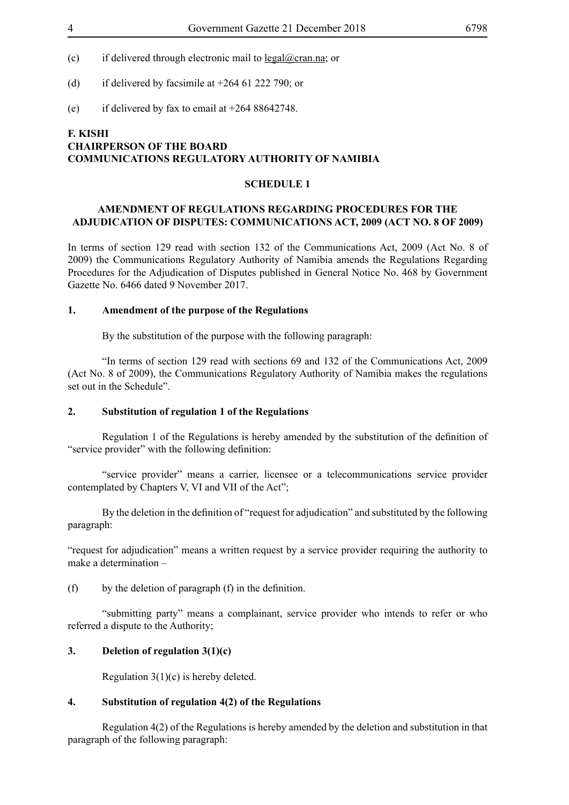- (c) if delivered through electronic mail to legal@cran.na; or
- (d) if delivered by facsimile at  $+264$  61 222 790; or
- (e) if delivered by fax to email at  $+26488642748$ .

# **F. KISHI CHAIRPERSON OF THE BOARD COMMUNICATIONS REGULATORY AUTHORITY OF NAMIBIA**

#### **SCHEDULE 1**

#### **AMENDMENT OF REGULATIONS REGARDING PROCEDURES FOR THE ADJUDICATION OF DISPUTES: COMMUNICATIONS ACT, 2009 (ACT NO. 8 OF 2009)**

In terms of section 129 read with section 132 of the Communications Act, 2009 (Act No. 8 of 2009) the Communications Regulatory Authority of Namibia amends the Regulations Regarding Procedures for the Adjudication of Disputes published in General Notice No. 468 by Government Gazette No. 6466 dated 9 November 2017.

# **1. Amendment of the purpose of the Regulations**

By the substitution of the purpose with the following paragraph:

"In terms of section 129 read with sections 69 and 132 of the Communications Act, 2009 (Act No. 8 of 2009), the Communications Regulatory Authority of Namibia makes the regulations set out in the Schedule".

#### **2. Substitution of regulation 1 of the Regulations**

 Regulation 1 of the Regulations is hereby amended by the substitution of the definition of "service provider" with the following definition:

"service provider" means a carrier, licensee or a telecommunications service provider contemplated by Chapters V, VI and VII of the Act";

 By the deletion in the definition of "request for adjudication" and substituted by the following paragraph:

"request for adjudication" means a written request by a service provider requiring the authority to make a determination –

(f) by the deletion of paragraph  $(f)$  in the definition.

"submitting party" means a complainant, service provider who intends to refer or who referred a dispute to the Authority;

#### **3. Deletion of regulation 3(1)(c)**

Regulation 3(1)(c) is hereby deleted.

# **4. Substitution of regulation 4(2) of the Regulations**

Regulation 4(2) of the Regulations is hereby amended by the deletion and substitution in that paragraph of the following paragraph: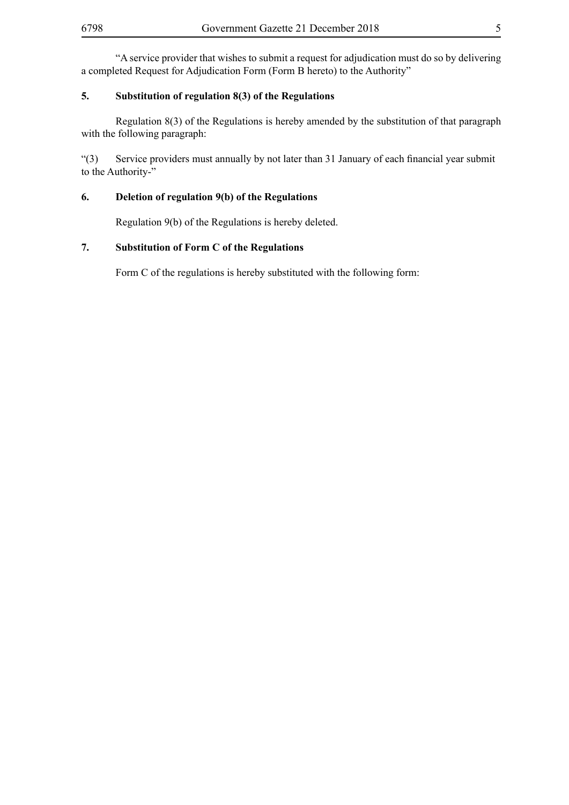"A service provider that wishes to submit a request for adjudication must do so by delivering a completed Request for Adjudication Form (Form B hereto) to the Authority"

# **5. Substitution of regulation 8(3) of the Regulations**

Regulation 8(3) of the Regulations is hereby amended by the substitution of that paragraph with the following paragraph:

"(3) Service providers must annually by not later than 31 January of each financial year submit to the Authority-"

# **6. Deletion of regulation 9(b) of the Regulations**

Regulation 9(b) of the Regulations is hereby deleted.

# **7. Substitution of Form C of the Regulations**

Form C of the regulations is hereby substituted with the following form: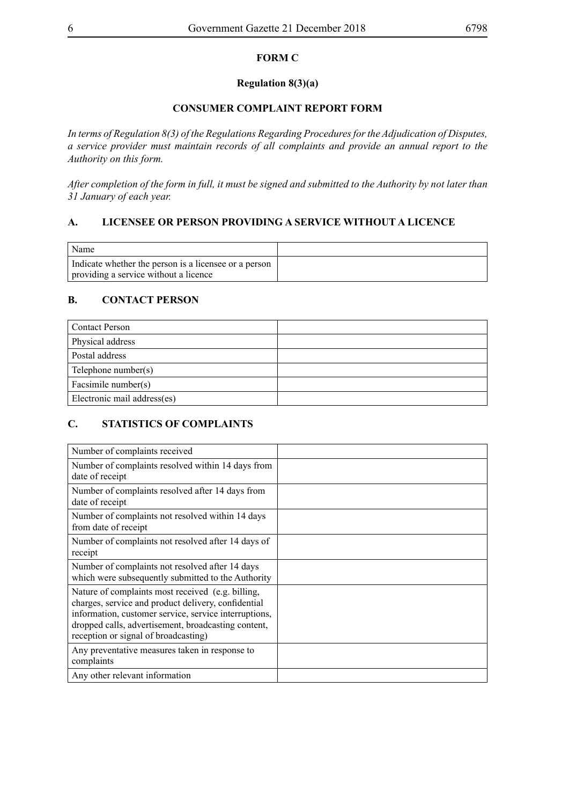# **FORM C**

# **Regulation 8(3)(a)**

# **CONSUMER COMPLAINT REPORT FORM**

*In terms of Regulation 8(3) of the Regulations Regarding Procedures for the Adjudication of Disputes, a service provider must maintain records of all complaints and provide an annual report to the Authority on this form.* 

*After completion of the form in full, it must be signed and submitted to the Authority by not later than 31 January of each year.* 

# **A. LICENSEE OR PERSON PROVIDING A SERVICE WITHOUT A LICENCE**

| Name                                                  |  |
|-------------------------------------------------------|--|
| Indicate whether the person is a licensee or a person |  |
| providing a service without a licence                 |  |

# **B. CONTACT PERSON**

| <b>Contact Person</b>       |  |
|-----------------------------|--|
| Physical address            |  |
| Postal address              |  |
| Telephone number(s)         |  |
| Facsimile number(s)         |  |
| Electronic mail address(es) |  |

# **C. STATISTICS OF COMPLAINTS**

| Number of complaints received                                                                                                                                                                                                                                    |  |
|------------------------------------------------------------------------------------------------------------------------------------------------------------------------------------------------------------------------------------------------------------------|--|
| Number of complaints resolved within 14 days from<br>date of receipt                                                                                                                                                                                             |  |
| Number of complaints resolved after 14 days from<br>date of receipt                                                                                                                                                                                              |  |
| Number of complaints not resolved within 14 days<br>from date of receipt                                                                                                                                                                                         |  |
| Number of complaints not resolved after 14 days of<br>receipt                                                                                                                                                                                                    |  |
| Number of complaints not resolved after 14 days<br>which were subsequently submitted to the Authority                                                                                                                                                            |  |
| Nature of complaints most received (e.g. billing,<br>charges, service and product delivery, confidential<br>information, customer service, service interruptions,<br>dropped calls, advertisement, broadcasting content,<br>reception or signal of broadcasting) |  |
| Any preventative measures taken in response to<br>complaints                                                                                                                                                                                                     |  |
| Any other relevant information                                                                                                                                                                                                                                   |  |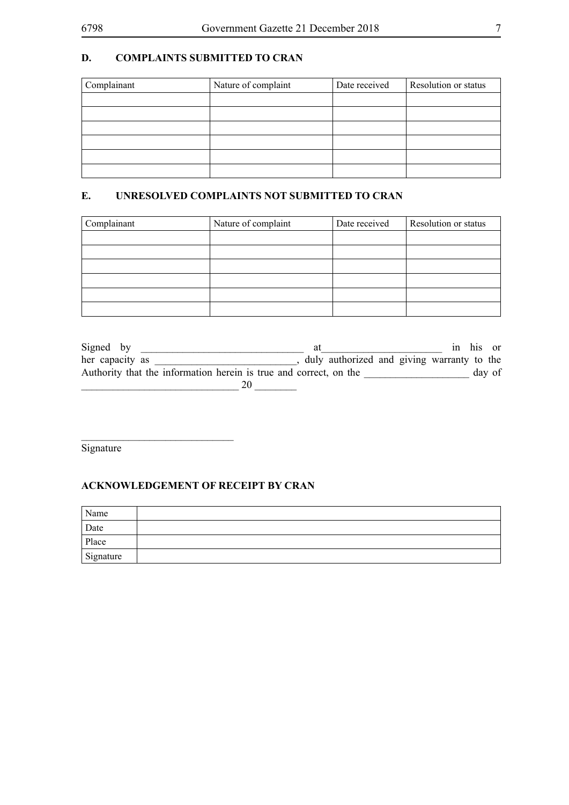# **D. COMPLAINTS SUBMITTED TO CRAN**

| Complainant | Nature of complaint | Date received | Resolution or status |
|-------------|---------------------|---------------|----------------------|
|             |                     |               |                      |
|             |                     |               |                      |
|             |                     |               |                      |
|             |                     |               |                      |
|             |                     |               |                      |
|             |                     |               |                      |

# **E. UNRESOLVED COMPLAINTS NOT SUBMITTED TO CRAN**

| Complainant | Nature of complaint | Date received | Resolution or status |  |
|-------------|---------------------|---------------|----------------------|--|
|             |                     |               |                      |  |
|             |                     |               |                      |  |
|             |                     |               |                      |  |
|             |                     |               |                      |  |
|             |                     |               |                      |  |
|             |                     |               |                      |  |

| Signed by                                                         |                                            |  |  | in his or |
|-------------------------------------------------------------------|--------------------------------------------|--|--|-----------|
| her capacity as                                                   | duly authorized and giving warranty to the |  |  |           |
| Authority that the information herein is true and correct, on the |                                            |  |  | day of    |
|                                                                   |                                            |  |  |           |

Signature

# **ACKNOWLEDGEMENT OF RECEIPT BY CRAN**

\_\_\_\_\_\_\_\_\_\_\_\_\_\_\_\_\_\_\_\_\_\_\_\_\_\_\_\_\_

| Name      |  |
|-----------|--|
| Date      |  |
| Place     |  |
| Signature |  |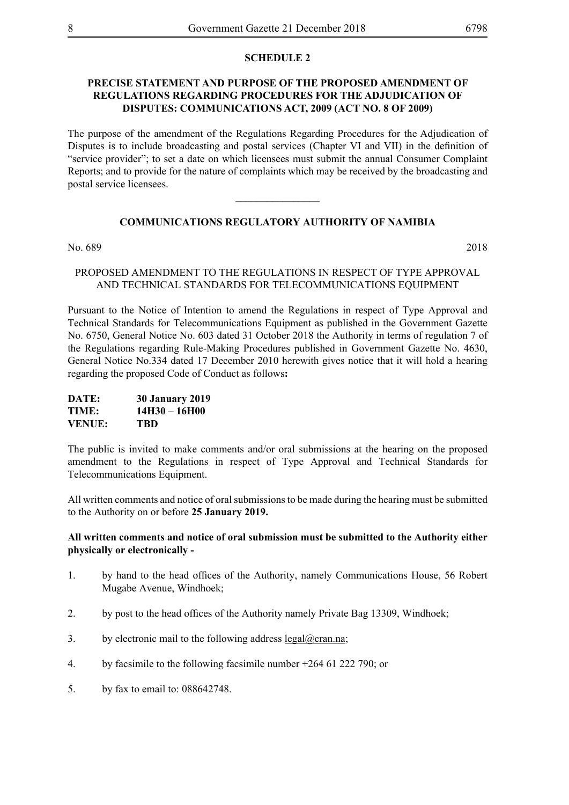#### **SCHEDULE 2**

# **PRECISE STATEMENT AND PURPOSE OF THE PROPOSED AMENDMENT OF REGULATIONS REGARDING PROCEDURES FOR THE ADJUDICATION OF DISPUTES: COMMUNICATIONS ACT, 2009 (ACT NO. 8 OF 2009)**

The purpose of the amendment of the Regulations Regarding Procedures for the Adjudication of Disputes is to include broadcasting and postal services (Chapter VI and VII) in the definition of "service provider"; to set a date on which licensees must submit the annual Consumer Complaint Reports; and to provide for the nature of complaints which may be received by the broadcasting and postal service licensees.

# **COMMUNICATIONS REGULATORY AUTHORITY OF NAMIBIA**

 $\overline{\phantom{a}}$  , where  $\overline{\phantom{a}}$ 

No. 689 2018

#### PROPOSED AMENDMENT TO THE REGULATIONS IN RESPECT OF TYPE APPROVAL AND TECHNICAL STANDARDS FOR TELECOMMUNICATIONS EQUIPMENT

Pursuant to the Notice of Intention to amend the Regulations in respect of Type Approval and Technical Standards for Telecommunications Equipment as published in the Government Gazette No. 6750, General Notice No. 603 dated 31 October 2018 the Authority in terms of regulation 7 of the Regulations regarding Rule-Making Procedures published in Government Gazette No. 4630, General Notice No.334 dated 17 December 2010 herewith gives notice that it will hold a hearing regarding the proposed Code of Conduct as follows**:**

| DATE:         | <b>30 January 2019</b> |
|---------------|------------------------|
| TIME:         | 14H30 - 16H00          |
| <b>VENUE:</b> | TBD                    |

The public is invited to make comments and/or oral submissions at the hearing on the proposed amendment to the Regulations in respect of Type Approval and Technical Standards for Telecommunications Equipment.

All written comments and notice of oral submissions to be made during the hearing must be submitted to the Authority on or before **25 January 2019.**

# **All written comments and notice of oral submission must be submitted to the Authority either physically or electronically -**

- 1. by hand to the head offices of the Authority, namely Communications House, 56 Robert Mugabe Avenue, Windhoek;
- 2. by post to the head offices of the Authority namely Private Bag 13309, Windhoek:
- 3. by electronic mail to the following address  $\text{legal}(\omega \text{cran}.\text{na})$ ;
- 4. by facsimile to the following facsimile number +264 61 222 790; or
- 5. by fax to email to: 088642748.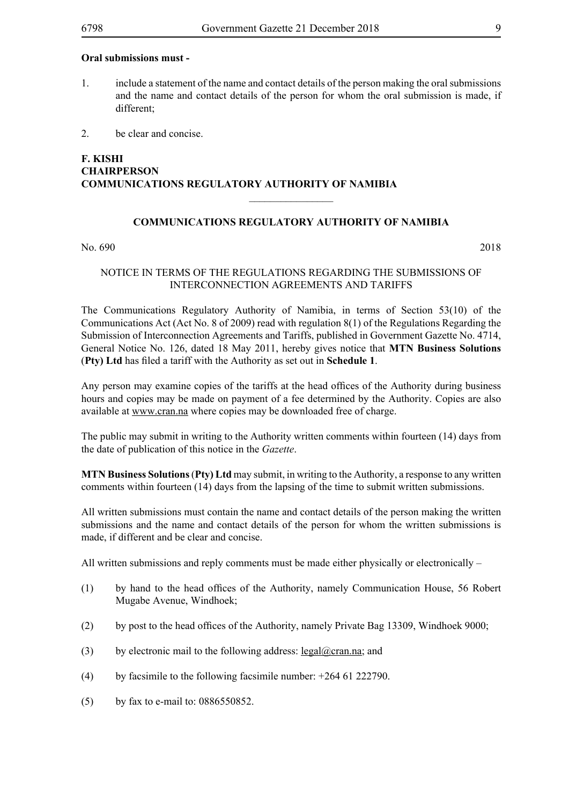#### **Oral submissions must -**

- 1. include a statement of the name and contact details of the person making the oral submissions and the name and contact details of the person for whom the oral submission is made, if different;
- 2. be clear and concise.

# **F. KISHI CHAIRPERSON COMMUNICATIONS REGULATORY AUTHORITY OF NAMIBIA**

#### **COMMUNICATIONS REGULATORY AUTHORITY OF NAMIBIA**

 $\overline{\phantom{a}}$  , where  $\overline{\phantom{a}}$ 

No. 690 2018

#### NOTICE IN TERMS OF THE REGULATIONS REGARDING THE SUBMISSIONS OF INTERCONNECTION AGREEMENTS AND TARIFFS

The Communications Regulatory Authority of Namibia, in terms of Section 53(10) of the Communications Act (Act No. 8 of 2009) read with regulation 8(1) of the Regulations Regarding the Submission of Interconnection Agreements and Tariffs, published in Government Gazette No. 4714, General Notice No. 126, dated 18 May 2011, hereby gives notice that **MTN Business Solutions** (**Pty) Ltd** has filed a tariff with the Authority as set out in **Schedule 1**.

Any person may examine copies of the tariffs at the head offices of the Authority during business hours and copies may be made on payment of a fee determined by the Authority. Copies are also available at www.cran.na where copies may be downloaded free of charge.

The public may submit in writing to the Authority written comments within fourteen (14) days from the date of publication of this notice in the *Gazette*.

**MTN Business Solutions** (**Pty) Ltd** may submit, in writing to the Authority, a response to any written comments within fourteen (14) days from the lapsing of the time to submit written submissions.

All written submissions must contain the name and contact details of the person making the written submissions and the name and contact details of the person for whom the written submissions is made, if different and be clear and concise.

All written submissions and reply comments must be made either physically or electronically –

- (1) by hand to the head offices of the Authority, namely Communication House, 56 Robert Mugabe Avenue, Windhoek;
- (2) by post to the head offices of the Authority, namely Private Bag 13309, Windhoek 9000;
- (3) by electronic mail to the following address:  $\text{legal}(\omega)$ cran.na; and
- (4) by facsimile to the following facsimile number:  $+26461222790$ .
- (5) by fax to e-mail to: 0886550852.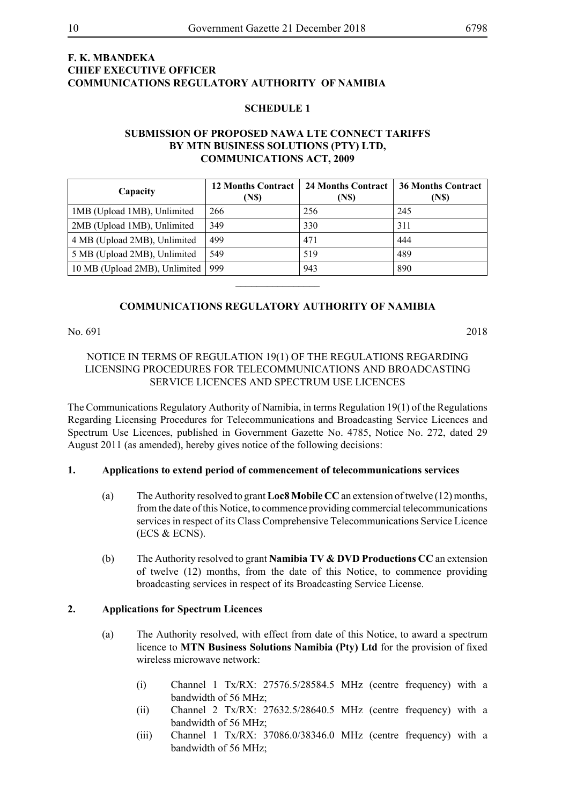# **F. K. MBANDEKA CHIEF EXECUTIVE OFFICER COMMUNICATIONS REGULATORY AUTHORITY OF NAMIBIA**

#### **SCHEDULE 1**

# **SUBMISSION OF PROPOSED NAWA LTE CONNECT TARIFFS BY MTN BUSINESS SOLUTIONS (PTY) LTD, COMMUNICATIONS ACT, 2009**

| Capacity                      | <b>12 Months Contract</b><br>(N\$) | <b>24 Months Contract</b><br>(N\$) | <b>36 Months Contract</b><br>(N <sub>s</sub> ) |
|-------------------------------|------------------------------------|------------------------------------|------------------------------------------------|
| 1MB (Upload 1MB), Unlimited   | 266                                | 256                                | 245                                            |
| 2MB (Upload 1MB), Unlimited   | 349                                | 330                                | 311                                            |
| 4 MB (Upload 2MB), Unlimited  | 499                                | 471                                | 444                                            |
| 5 MB (Upload 2MB), Unlimited  | 549                                | 519                                | 489                                            |
| 10 MB (Upload 2MB), Unlimited | 999                                | 943                                | 890                                            |
|                               |                                    |                                    |                                                |

# **COMMUNICATIONS REGULATORY AUTHORITY OF NAMIBIA**

No. 691 2018

# NOTICE IN TERMS OF REGULATION 19(1) OF THE REGULATIONS REGARDING LICENSING PROCEDURES FOR TELECOMMUNICATIONS AND BROADCASTING SERVICE LICENCES AND SPECTRUM USE LICENCES

The Communications Regulatory Authority of Namibia, in terms Regulation 19(1) of the Regulations Regarding Licensing Procedures for Telecommunications and Broadcasting Service Licences and Spectrum Use Licences, published in Government Gazette No. 4785, Notice No. 272, dated 29 August 2011 (as amended), hereby gives notice of the following decisions:

#### **1. Applications to extend period of commencement of telecommunications services**

- (a) The Authority resolved to grant **Loc8 Mobile CC** an extension of twelve (12) months, from the date of this Notice, to commence providing commercial telecommunications services in respect of its Class Comprehensive Telecommunications Service Licence (ECS & ECNS).
- (b) The Authority resolved to grant **Namibia TV & DVD Productions CC** an extension of twelve (12) months, from the date of this Notice, to commence providing broadcasting services in respect of its Broadcasting Service License.

# **2. Applications for Spectrum Licences**

- (a) The Authority resolved, with effect from date of this Notice, to award a spectrum licence to **MTN Business Solutions Namibia (Pty) Ltd** for the provision of fixed wireless microwave network:
	- (i) Channel 1 Tx/RX: 27576.5/28584.5 MHz (centre frequency) with a bandwidth of 56 MHz;
	- (ii) Channel 2 Tx/RX: 27632.5/28640.5 MHz (centre frequency) with a bandwidth of 56 MHz;
	- (iii) Channel 1 Tx/RX: 37086.0/38346.0 MHz (centre frequency) with a bandwidth of 56 MHz;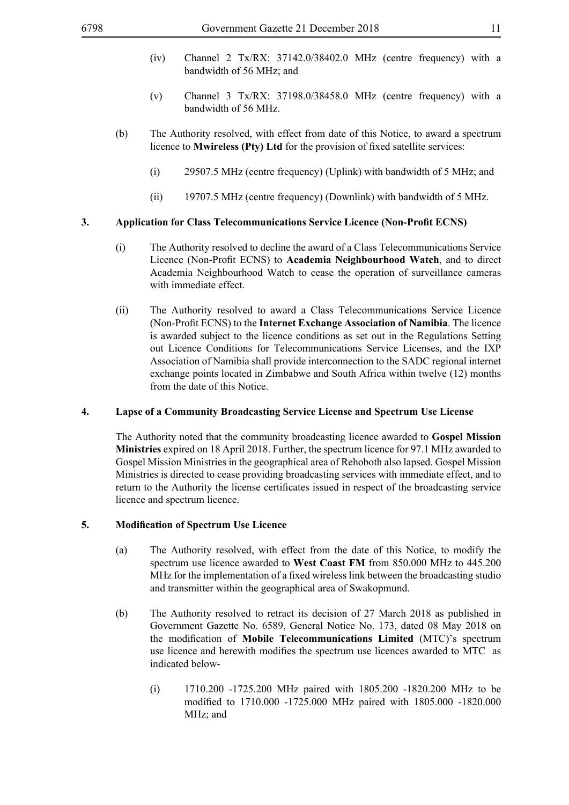- (iv) Channel 2 Tx/RX: 37142.0/38402.0 MHz (centre frequency) with a bandwidth of 56 MHz; and
- (v) Channel 3 Tx/RX: 37198.0/38458.0 MHz (centre frequency) with a bandwidth of 56 MHz.
- (b) The Authority resolved, with effect from date of this Notice, to award a spectrum licence to **Mwireless (Pty) Ltd** for the provision of fixed satellite services:
	- (i) 29507.5 MHz (centre frequency) (Uplink) with bandwidth of 5 MHz; and
	- (ii) 19707.5 MHz (centre frequency) (Downlink) with bandwidth of 5 MHz.

#### **3. Application for Class Telecommunications Service Licence (Non-Profit ECNS)**

- (i) The Authority resolved to decline the award of a Class Telecommunications Service Licence (Non-Profit ECNS) to **Academia Neighbourhood Watch**, and to direct Academia Neighbourhood Watch to cease the operation of surveillance cameras with immediate effect.
- (ii) The Authority resolved to award a Class Telecommunications Service Licence (Non-Profit ECNS) to the **Internet Exchange Association of Namibia**. The licence is awarded subject to the licence conditions as set out in the Regulations Setting out Licence Conditions for Telecommunications Service Licenses, and the IXP Association of Namibia shall provide interconnection to the SADC regional internet exchange points located in Zimbabwe and South Africa within twelve (12) months from the date of this Notice.

#### **4. Lapse of a Community Broadcasting Service License and Spectrum Use License**

The Authority noted that the community broadcasting licence awarded to **Gospel Mission Ministries** expired on 18 April 2018. Further, the spectrum licence for 97.1 MHz awarded to Gospel Mission Ministries in the geographical area of Rehoboth also lapsed. Gospel Mission Ministries is directed to cease providing broadcasting services with immediate effect, and to return to the Authority the license certificates issued in respect of the broadcasting service licence and spectrum licence.

### **5. Modification of Spectrum Use Licence**

- (a) The Authority resolved, with effect from the date of this Notice, to modify the spectrum use licence awarded to **West Coast FM** from 850.000 MHz to 445.200 MHz for the implementation of a fixed wireless link between the broadcasting studio and transmitter within the geographical area of Swakopmund.
- (b) The Authority resolved to retract its decision of 27 March 2018 as published in Government Gazette No. 6589, General Notice No. 173, dated 08 May 2018 on the modification of **Mobile Telecommunications Limited** (MTC)'s spectrum use licence and herewith modifies the spectrum use licences awarded to MTC as indicated below-
	- (i) 1710.200 -1725.200 MHz paired with 1805.200 -1820.200 MHz to be modified to 1710.000 -1725.000 MHz paired with 1805.000 -1820.000 MHz; and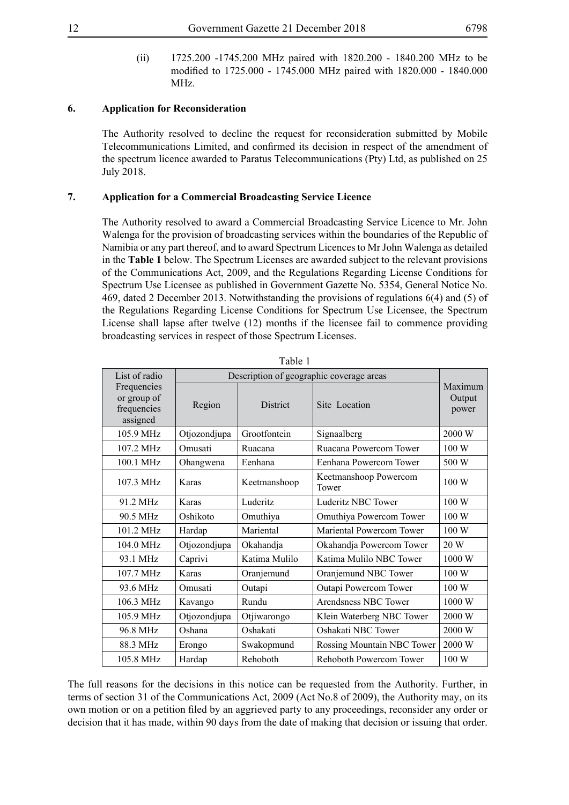(ii) 1725.200 -1745.200 MHz paired with 1820.200 - 1840.200 MHz to be modified to 1725.000 - 1745.000 MHz paired with 1820.000 - 1840.000 MHz.

# **6. Application for Reconsideration**

The Authority resolved to decline the request for reconsideration submitted by Mobile Telecommunications Limited, and confirmed its decision in respect of the amendment of the spectrum licence awarded to Paratus Telecommunications (Pty) Ltd, as published on 25 July 2018.

# **7. Application for a Commercial Broadcasting Service Licence**

The Authority resolved to award a Commercial Broadcasting Service Licence to Mr. John Walenga for the provision of broadcasting services within the boundaries of the Republic of Namibia or any part thereof, and to award Spectrum Licences to Mr John Walenga as detailed in the **Table 1** below. The Spectrum Licenses are awarded subject to the relevant provisions of the Communications Act, 2009, and the Regulations Regarding License Conditions for Spectrum Use Licensee as published in Government Gazette No. 5354, General Notice No. 469, dated 2 December 2013. Notwithstanding the provisions of regulations 6(4) and (5) of the Regulations Regarding License Conditions for Spectrum Use Licensee, the Spectrum License shall lapse after twelve (12) months if the licensee fail to commence providing broadcasting services in respect of those Spectrum Licenses.

|                                                       |              | Tavit I                                  |                                |                            |
|-------------------------------------------------------|--------------|------------------------------------------|--------------------------------|----------------------------|
| List of radio                                         |              | Description of geographic coverage areas |                                |                            |
| Frequencies<br>or group of<br>frequencies<br>assigned | Region       | District                                 | Site Location                  | Maximum<br>Output<br>power |
| 105.9 MHz                                             | Otjozondjupa | Grootfontein                             | Signaalberg                    | 2000 W                     |
| 107.2 MHz                                             | Omusati      | Ruacana                                  | Ruacana Powercom Tower         | 100 W                      |
| 100.1 MHz                                             | Ohangwena    | Eenhana                                  | Eenhana Powercom Tower         | 500 W                      |
| 107.3 MHz                                             | Karas        | Keetmanshoop                             | Keetmanshoop Powercom<br>Tower | 100 W                      |
| 91.2 MHz                                              | Karas        | Luderitz                                 | Luderitz NBC Tower             | 100W                       |
| 90.5 MHz                                              | Oshikoto     | Omuthiya                                 | Omuthiya Powercom Tower        | 100 W                      |
| 101.2 MHz                                             | Hardap       | Mariental                                | Mariental Powercom Tower       | 100 W                      |
| 104.0 MHz                                             | Otjozondjupa | Okahandja                                | Okahandja Powercom Tower       | 20 W                       |
| 93.1 MHz                                              | Caprivi      | Katima Mulilo                            | Katima Mulilo NBC Tower        | 1000 W                     |
| 107.7 MHz                                             | Karas        | Oranjemund                               | Oranjemund NBC Tower           | 100 W                      |
| 93.6 MHz                                              | Omusati      | Outapi                                   | Outapi Powercom Tower          | 100 W                      |
| 106.3 MHz                                             | Kavango      | Rundu                                    | Arendsness NBC Tower           | 1000W                      |
| 105.9 MHz                                             | Otjozondjupa | Otjiwarongo                              | Klein Waterberg NBC Tower      | 2000 W                     |
| 96.8 MHz                                              | Oshana       | Oshakati                                 | Oshakati NBC Tower             | 2000 W                     |
| 88.3 MHz                                              | Erongo       | Swakopmund                               | Rossing Mountain NBC Tower     | 2000 W                     |
| 105.8 MHz                                             | Hardap       | Rehoboth                                 | Rehoboth Powercom Tower        | 100 W                      |

Table 1

The full reasons for the decisions in this notice can be requested from the Authority. Further, in terms of section 31 of the Communications Act, 2009 (Act No.8 of 2009), the Authority may, on its own motion or on a petition filed by an aggrieved party to any proceedings, reconsider any order or decision that it has made, within 90 days from the date of making that decision or issuing that order.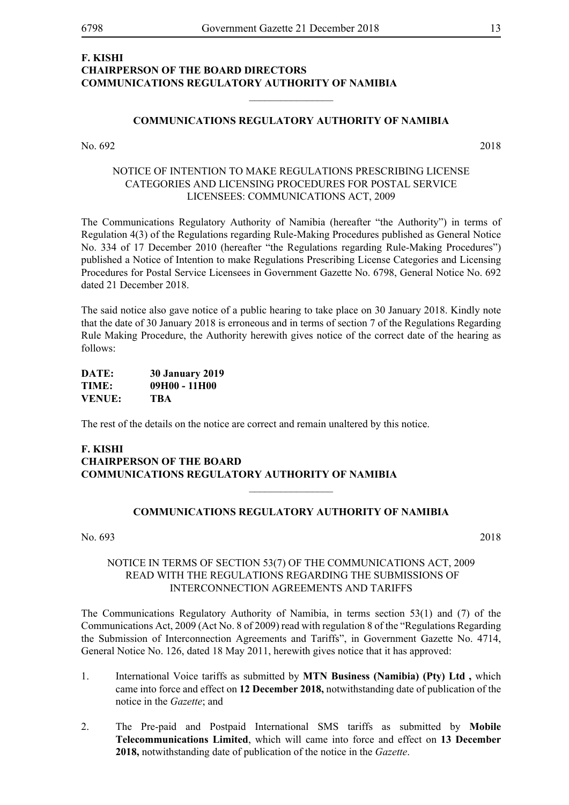# **F. KISHI CHAIRPERSON OF THE BOARD DIRECTORS COMMUNICATIONS REGULATORY AUTHORITY OF NAMIBIA**

#### **COMMUNICATIONS REGULATORY AUTHORITY OF NAMIBIA**

 $\frac{1}{2}$ 

No. 692 2018

# NOTICE OF INTENTION TO MAKE REGULATIONS PRESCRIBING LICENSE CATEGORIES AND LICENSING PROCEDURES FOR POSTAL SERVICE LICENSEES: COMMUNICATIONS ACT, 2009

The Communications Regulatory Authority of Namibia (hereafter "the Authority") in terms of Regulation 4(3) of the Regulations regarding Rule-Making Procedures published as General Notice No. 334 of 17 December 2010 (hereafter "the Regulations regarding Rule-Making Procedures") published a Notice of Intention to make Regulations Prescribing License Categories and Licensing Procedures for Postal Service Licensees in Government Gazette No. 6798, General Notice No. 692 dated 21 December 2018.

The said notice also gave notice of a public hearing to take place on 30 January 2018. Kindly note that the date of 30 January 2018 is erroneous and in terms of section 7 of the Regulations Regarding Rule Making Procedure, the Authority herewith gives notice of the correct date of the hearing as follows:

| DATE:         | <b>30 January 2019</b> |
|---------------|------------------------|
| TIME:         | 09H00 - 11H00          |
| <b>VENUE:</b> | TBA                    |

The rest of the details on the notice are correct and remain unaltered by this notice.

# **F. KISHI CHAIRPERSON OF THE BOARD COMMUNICATIONS REGULATORY AUTHORITY OF NAMIBIA**

#### **COMMUNICATIONS REGULATORY AUTHORITY OF NAMIBIA**

 $\overline{\phantom{a}}$  , where  $\overline{\phantom{a}}$ 

No. 693 2018

## NOTICE IN TERMS OF SECTION 53(7) OF THE COMMUNICATIONS ACT, 2009 READ WITH THE REGULATIONS REGARDING THE SUBMISSIONS OF INTERCONNECTION AGREEMENTS AND TARIFFS

The Communications Regulatory Authority of Namibia, in terms section 53(1) and (7) of the Communications Act, 2009 (Act No. 8 of 2009) read with regulation 8 of the "Regulations Regarding the Submission of Interconnection Agreements and Tariffs", in Government Gazette No. 4714, General Notice No. 126, dated 18 May 2011, herewith gives notice that it has approved:

- 1. International Voice tariffs as submitted by **MTN Business (Namibia) (Pty) Ltd ,** which came into force and effect on **12 December 2018,** notwithstanding date of publication of the notice in the *Gazette*; and
- 2. The Pre-paid and Postpaid International SMS tariffs as submitted by **Mobile Telecommunications Limited**, which will came into force and effect on **13 December 2018,** notwithstanding date of publication of the notice in the *Gazette*.